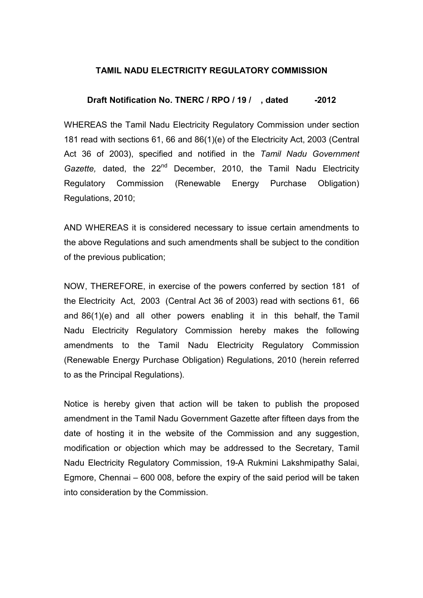## TAMIL NADU ELECTRICITY REGULATORY COMMISSION

## Draft Notification No. TNERC / RPO / 19 / dated -2012

WHEREAS the Tamil Nadu Electricity Regulatory Commission under section 181 read with sections 61, 66 and 86(1)(e) of the Electricity Act, 2003 (Central Act 36 of 2003), specified and notified in the Tamil Nadu Government Gazette, dated, the  $22<sup>nd</sup>$  December, 2010, the Tamil Nadu Electricity Regulatory Commission (Renewable Energy Purchase Obligation) Regulations, 2010;

AND WHEREAS it is considered necessary to issue certain amendments to the above Regulations and such amendments shall be subject to the condition of the previous publication;

NOW, THEREFORE, in exercise of the powers conferred by section 181 of the Electricity Act, 2003 (Central Act 36 of 2003) read with sections 61, 66 and 86(1)(e) and all other powers enabling it in this behalf, the Tamil Nadu Electricity Regulatory Commission hereby makes the following amendments to the Tamil Nadu Electricity Regulatory Commission (Renewable Energy Purchase Obligation) Regulations, 2010 (herein referred to as the Principal Regulations).

Notice is hereby given that action will be taken to publish the proposed amendment in the Tamil Nadu Government Gazette after fifteen days from the date of hosting it in the website of the Commission and any suggestion, modification or objection which may be addressed to the Secretary, Tamil Nadu Electricity Regulatory Commission, 19-A Rukmini Lakshmipathy Salai, Egmore, Chennai – 600 008, before the expiry of the said period will be taken into consideration by the Commission.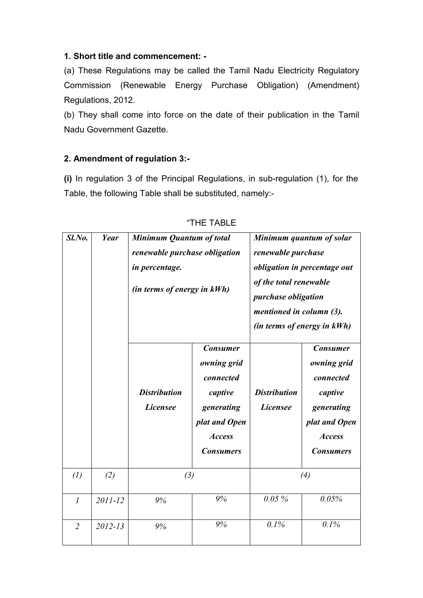## 1. Short title and commencement: -

(a) These Regulations may be called the Tamil Nadu Electricity Regulatory Commission (Renewable Energy Purchase Obligation) (Amendment) Regulations, 2012.

(b) They shall come into force on the date of their publication in the Tamil Nadu Government Gazette.

## 2. Amendment of regulation 3:-

(i) In regulation 3 of the Principal Regulations, in sub-regulation (1), for the Table, the following Table shall be substituted, namely:-

| $Sl$ .No.         | Year        | Minimum Quantum of total<br>renewable purchase obligation<br>in percentage.<br>(in terms of energy in kWh) |                                                                                                                            | Minimum quantum of solar<br>renewable purchase<br>obligation in percentage out<br>of the total renewable<br><i>purchase obligation</i><br>mentioned in column (3).<br>(in terms of energy in kWh) |                                                                                                                            |
|-------------------|-------------|------------------------------------------------------------------------------------------------------------|----------------------------------------------------------------------------------------------------------------------------|---------------------------------------------------------------------------------------------------------------------------------------------------------------------------------------------------|----------------------------------------------------------------------------------------------------------------------------|
|                   |             | <b>Distribution</b><br><b>Licensee</b>                                                                     | <b>Consumer</b><br>owning grid<br>connected<br>captive<br>generating<br>plat and Open<br><b>Access</b><br><b>Consumers</b> | <b>Distribution</b><br><b>Licensee</b>                                                                                                                                                            | <b>Consumer</b><br>owning grid<br>connected<br>captive<br>generating<br>plat and Open<br><b>Access</b><br><b>Consumers</b> |
| $\left( l\right)$ | (2)         | (3)                                                                                                        |                                                                                                                            | (4)                                                                                                                                                                                               |                                                                                                                            |
| $\mathcal{I}$     | 2011-12     | 9%                                                                                                         | 9%                                                                                                                         | 0.05%                                                                                                                                                                                             | 0.05%                                                                                                                      |
| $\overline{2}$    | $2012 - 13$ | 9%                                                                                                         | 9%                                                                                                                         | 0.1%                                                                                                                                                                                              | 0.1%                                                                                                                       |

|  | "THE TABLE |  |
|--|------------|--|
|  |            |  |